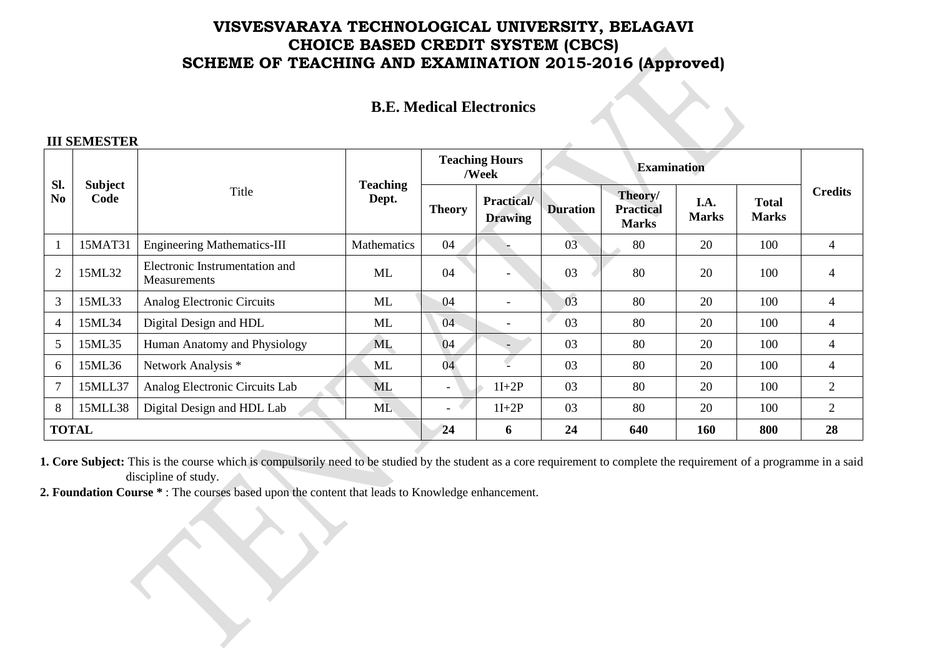### **VISVESVARAYA TECHNOLOGICAL UNIVERSITY, BELAGAVI CHOICE BASED CREDIT SYSTEM (CBCS) SCHEME OF TEACHING AND EXAMINATION 2015-2016 (Approved)**

#### **B.E. Medical Electronics**

#### **III SEMESTER**

| Sl.<br>N <sub>0</sub> | <b>Subject</b><br>Code | Title                                          | <b>Teaching</b><br>Dept. | <b>Teaching Hours</b><br>/Week |                              | <b>Examination</b> |                                             |                      |                              |                |
|-----------------------|------------------------|------------------------------------------------|--------------------------|--------------------------------|------------------------------|--------------------|---------------------------------------------|----------------------|------------------------------|----------------|
|                       |                        |                                                |                          | <b>Theory</b>                  | Practical/<br><b>Drawing</b> | <b>Duration</b>    | Theory/<br><b>Practical</b><br><b>Marks</b> | I.A.<br><b>Marks</b> | <b>Total</b><br><b>Marks</b> | <b>Credits</b> |
|                       | 15MAT31                | <b>Engineering Mathematics-III</b>             | <b>Mathematics</b>       | 04                             |                              | 03                 | 80                                          | 20                   | 100                          | $\overline{4}$ |
| $\overline{2}$        | 15ML32                 | Electronic Instrumentation and<br>Measurements | <b>ML</b>                | 04                             |                              | 03                 | 80                                          | 20                   | 100                          | $\overline{4}$ |
| 3                     | 15ML33                 | Analog Electronic Circuits                     | ML                       | 04                             | $\overline{\phantom{a}}$     | 03                 | 80                                          | 20                   | 100                          | 4              |
| $\overline{4}$        | 15ML34                 | Digital Design and HDL                         | ML                       | 04                             |                              | 03                 | 80                                          | 20                   | 100                          | $\overline{4}$ |
| 5                     | 15ML35                 | Human Anatomy and Physiology                   | <b>ML</b>                | 04                             |                              | 03                 | 80                                          | 20                   | 100                          | 4              |
| 6                     | 15ML36                 | Network Analysis *                             | ML                       | 04                             | €                            | 03                 | 80                                          | 20                   | 100                          | $\overline{4}$ |
| $\overline{7}$        | 15MLL37                | Analog Electronic Circuits Lab                 | <b>ML</b>                | $\overline{\phantom{0}}$       | $1I+2P$                      | 03                 | 80                                          | 20                   | 100                          | 2              |
| 8                     | 15MLL38                | Digital Design and HDL Lab                     | <b>ML</b>                | $\left\langle \right\rangle$   | $1I+2P$                      | 03                 | 80                                          | 20                   | 100                          | $\overline{2}$ |
| <b>TOTAL</b>          |                        |                                                |                          | 24                             | 6                            | 24                 | 640                                         | 160                  | 800                          | 28             |

**1. Core Subject:** This is the course which is compulsorily need to be studied by the student as a core requirement to complete the requirement of a programme in a said discipline of study.

**2. Foundation Course \*** : The courses based upon the content that leads to Knowledge enhancement.